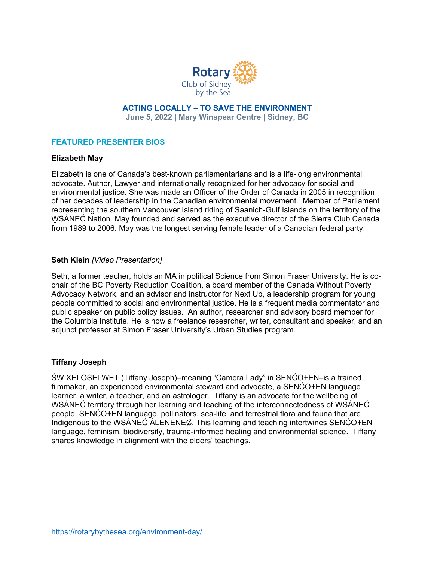

**ACTING LOCALLY – TO SAVE THE ENVIRONMENT June 5, 2022 | Mary Winspear Centre | Sidney, BC**

# **FEATURED PRESENTER BIOS**

#### **Elizabeth May**

Elizabeth is one of Canada's best-known parliamentarians and is a life-long environmental advocate. Author, Lawyer and internationally recognized for her advocacy for social and environmental justice. She was made an Officer of the Order of Canada in 2005 in recognition of her decades of leadership in the Canadian environmental movement. Member of Parliament representing the southern Vancouver Island riding of Saanich-Gulf Islands on the territory of the WSÁNEĆ Nation. May founded and served as the executive director of the Sierra Club Canada from 1989 to 2006. May was the longest serving female leader of a Canadian federal party.

#### **Seth Klein** *[Video Presentation]*

Seth, a former teacher, holds an MA in political Science from Simon Fraser University. He is cochair of the BC Poverty Reduction Coalition, a board member of the Canada Without Poverty Advocacy Network, and an advisor and instructor for Next Up, a leadership program for young people committed to social and environmental justice. He is a frequent media commentator and public speaker on public policy issues. An author, researcher and advisory board member for the Columbia Institute. He is now a freelance researcher, writer, consultant and speaker, and an adjunct professor at Simon Fraser University's Urban Studies program.

### **Tiffany Joseph**

ŚW̱ ,XELOSELWET (Tiffany Joseph)–meaning "Camera Lady" in SENĆOŦEN–is a trained filmmaker, an experienced environmental steward and advocate, a SENĆOTEN language learner, a writer, a teacher, and an astrologer. Tiffany is an advocate for the wellbeing of WSÁNEC territory through her learning and teaching of the interconnectedness of WSÁNEC people, SENĆOŦEN language, pollinators, sea-life, and terrestrial flora and fauna that are Indigenous to the WSÁNEC ALENENEC. This learning and teaching intertwines SENCOTEN language, feminism, biodiversity, trauma-informed healing and environmental science. Tiffany shares knowledge in alignment with the elders' teachings.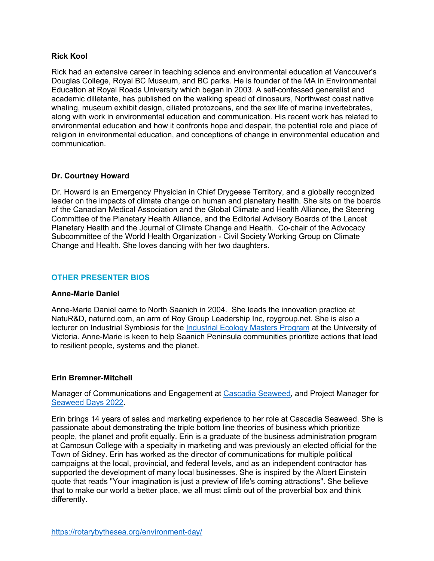## **Rick Kool**

Rick had an extensive career in teaching science and environmental education at Vancouver's Douglas College, Royal BC Museum, and BC parks. He is founder of the MA in Environmental Education at Royal Roads University which began in 2003. A self-confessed generalist and academic dilletante, has published on the walking speed of dinosaurs, Northwest coast native whaling, museum exhibit design, ciliated protozoans, and the sex life of marine invertebrates, along with work in environmental education and communication. His recent work has related to environmental education and how it confronts hope and despair, the potential role and place of religion in environmental education, and conceptions of change in environmental education and communication.

## **Dr. Courtney Howard**

Dr. Howard is an Emergency Physician in Chief Drygeese Territory, and a globally recognized leader on the impacts of climate change on human and planetary health. She sits on the boards of the Canadian Medical Association and the Global Climate and Health Alliance, the Steering Committee of the Planetary Health Alliance, and the Editorial Advisory Boards of the Lancet Planetary Health and the Journal of Climate Change and Health. Co-chair of the Advocacy Subcommittee of the World Health Organization - Civil Society Working Group on Climate Change and Health. She loves dancing with her two daughters.

# **OTHER PRESENTER BIOS**

### **Anne-Marie Daniel**

Anne-Marie Daniel came to North Saanich in 2004. She leads the innovation practice at NatuR&D, naturnd.com, an arm of Roy Group Leadership Inc, roygroup.net. She is also a lecturer on Industrial Symbiosis for the Industrial Ecology Masters Program at the University of Victoria. Anne-Marie is keen to help Saanich Peninsula communities prioritize actions that lead to resilient people, systems and the planet.

### **Erin Bremner-Mitchell**

Manager of Communications and Engagement at Cascadia Seaweed, and Project Manager for Seaweed Days 2022.

Erin brings 14 years of sales and marketing experience to her role at Cascadia Seaweed. She is passionate about demonstrating the triple bottom line theories of business which prioritize people, the planet and profit equally. Erin is a graduate of the business administration program at Camosun College with a specialty in marketing and was previously an elected official for the Town of Sidney. Erin has worked as the director of communications for multiple political campaigns at the local, provincial, and federal levels, and as an independent contractor has supported the development of many local businesses. She is inspired by the Albert Einstein quote that reads "Your imagination is just a preview of life's coming attractions". She believe that to make our world a better place, we all must climb out of the proverbial box and think differently.